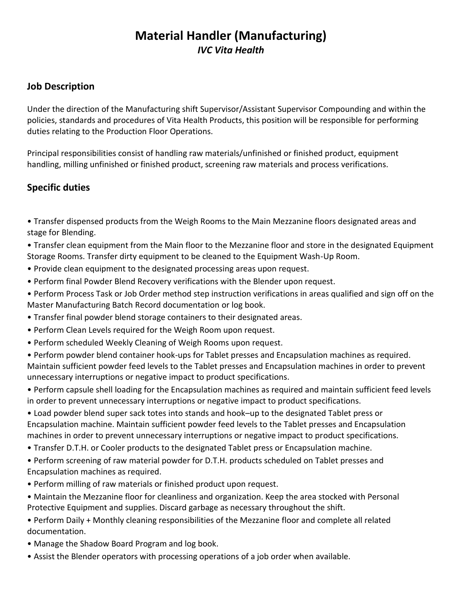# **Material Handler (Manufacturing)** *IVC Vita Health*

#### **Job Description**

Under the direction of the Manufacturing shift Supervisor/Assistant Supervisor Compounding and within the policies, standards and procedures of Vita Health Products, this position will be responsible for performing duties relating to the Production Floor Operations.

Principal responsibilities consist of handling raw materials/unfinished or finished product, equipment handling, milling unfinished or finished product, screening raw materials and process verifications.

#### **Specific duties**

• Transfer dispensed products from the Weigh Rooms to the Main Mezzanine floors designated areas and stage for Blending.

• Transfer clean equipment from the Main floor to the Mezzanine floor and store in the designated Equipment Storage Rooms. Transfer dirty equipment to be cleaned to the Equipment Wash-Up Room.

- Provide clean equipment to the designated processing areas upon request.
- Perform final Powder Blend Recovery verifications with the Blender upon request.

• Perform Process Task or Job Order method step instruction verifications in areas qualified and sign off on the Master Manufacturing Batch Record documentation or log book.

- Transfer final powder blend storage containers to their designated areas.
- Perform Clean Levels required for the Weigh Room upon request.
- Perform scheduled Weekly Cleaning of Weigh Rooms upon request.
- Perform powder blend container hook-ups for Tablet presses and Encapsulation machines as required. Maintain sufficient powder feed levels to the Tablet presses and Encapsulation machines in order to prevent unnecessary interruptions or negative impact to product specifications.

• Perform capsule shell loading for the Encapsulation machines as required and maintain sufficient feed levels in order to prevent unnecessary interruptions or negative impact to product specifications.

• Load powder blend super sack totes into stands and hook–up to the designated Tablet press or Encapsulation machine. Maintain sufficient powder feed levels to the Tablet presses and Encapsulation machines in order to prevent unnecessary interruptions or negative impact to product specifications.

- Transfer D.T.H. or Cooler products to the designated Tablet press or Encapsulation machine.
- Perform screening of raw material powder for D.T.H. products scheduled on Tablet presses and Encapsulation machines as required.
- Perform milling of raw materials or finished product upon request.
- Maintain the Mezzanine floor for cleanliness and organization. Keep the area stocked with Personal Protective Equipment and supplies. Discard garbage as necessary throughout the shift.
- Perform Daily + Monthly cleaning responsibilities of the Mezzanine floor and complete all related documentation.
- Manage the Shadow Board Program and log book.
- Assist the Blender operators with processing operations of a job order when available.